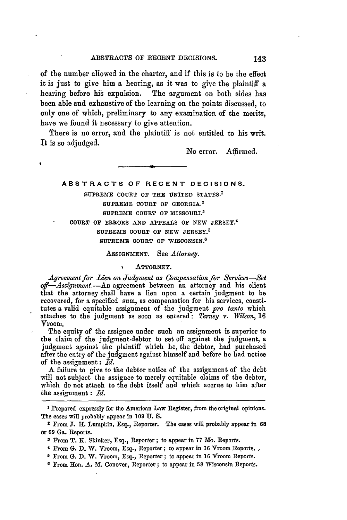of the number allowed in the charter, and if this is to be the effect it is just to give him a hearing, as it was to give the plaintiff a hearing before his expulsion. The argument on both sides has been able and exhaustive of the learning on the points discussed, to only one of which, preliminary to any examination of the merits, have we found it necessary to give attention.

There is no error, and the plaintiff is not entitled to his writ. It is so adjudged.

No error. Affirmed.

# **ABSTRACTS OF RECENT DECISIONS.**

# SUPREME **COURT OF** THE UNITED **STATES.<sup>1</sup> SUPREME COURT OF** GEORGIA. <sup>2</sup> SUPREME **COURT** OF MISSOURI.8 **COURT OF** ERRORS **AND APPEALS** OF **NEW** fJERSEY.4 SUPREME **COURT OF NEW** JERSEY.<sup>5</sup>

SUPREME **COURT** OF WISCONSIN. <sup>6</sup>

AsSIGNMENT. See *Attorney.*

## **N** ATTORNEY.

*Agreement for Lien on Judgment as Compensation for Services-Set off-Assignment.-An* agreement between an attorney and his client that the attorney shall have a lien upon a certain judgment to be recovered, for a specified sum, as compensation for his services, constitutes a valid equitable assignment of the judgment *pro tanto* which attaches to the judgment as soon as entered: *Terney v. Wilson,* 16 Vroom.

The equity of the assignee under such an assignment is superior to the claim of the judgment-debtor to set off against the judgment, a judgment against the plaintiff which he, the debtor, had purchased after the entry of the judgment against himself and before he had notice of the assignment: *Id.*

A failure to give to the debtor notice of the assignment of the debt will not subject the assignee to merely equitable claims of the debtor, which do not attach to the debt itself and which accrue to him after the assignment : *Id.*

**I** Prepared expressly for the American Law Register, from the original opinions. The cases will probably appear in 109 **U. S.**

<sup>2</sup> From **J.** H. Lumpkin, Esq., Reporter. The cases will probably appear in **68** or **69** Ga. Reports.

**<sup>3</sup>** From T. **K.** Skinker, Esq., Reporter; to appear in 77 Mo. Reports.

<sup>4</sup> From **G. D.** W. Vroom, Esq., Reporter; to appear in **16** Vroom Reports.

**<sup>5</sup>** From **G. D.** W. Vroom, Esq., Reporter; to appear in **16** Vroom Reports.

<sup>&</sup>lt;sup>6</sup> From Hon. A. M. Conover, Reporter; to appear in 58 Wisconsin Reports.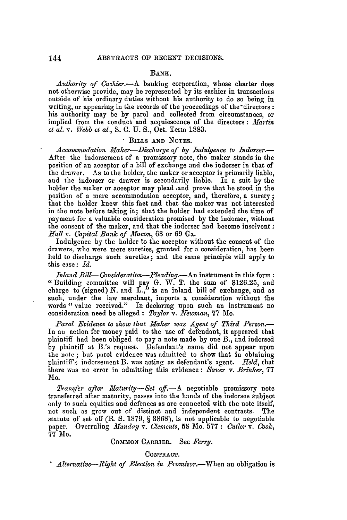## **BANK.**

*Authority of Cashier.-A* banking corporation, whose charter does not otherwise provide, may be represented by its cashier in transactions outside of his ordinary duties without his authority to do so being in writing, or appearing in the records of the proceedings of the directors: his authority may be by parol and collected from circumstances, or implied from the conduct and acquiescence of the directors **:** *Martin et al.* v. *Webb et al.,* **S. C. U.** S., Oct. Term 1883.

# **.** BILLS **AND NOTES.**

Accommodation Maker-Discharge of *by Indulgence to Indorser.* After the indorsement of a promissory note, the maker stands in the position of an acceptor of a bill of exchange and the indorser in that of the drawer. As to the holder, the maker or acceptor is primarily liable, and the indorser or drawer is secondarily liable. In a suit by the holder the maker or acceptor may plead ,and prove that he stood in the position of a mere accommodation acceptor, and, therefore, a surety; that the holder knew this fact and that the maker was not interested in the note before taking it; that the holder had extended the time of payment for a valuable consideration promised by the indorser, without the consent of the maker, and that the indorser had become insolvent: *Hall v. Calpital Bank of Macon,* 68 or 69 Ga.

Indulgence by the holder to the acceptor without the consent of the drawers, who were mere sureties, granted for a consideration, has been held to discharge such sureties; and the same principle will apply to this case: *Id.*

*Inland Bill- Consideration-leading.-An* instrument in this form: "Building committee will pay G. W. T. the sum of \$126.25, and charge to (signed) N. and  $\tilde{\mathbf{L}}$ ," is an inland bill of exchange, and as such, under the law merchant, imports a consideration without the words " value received." In declaring upon such an instrument no consideration need be alleged : *Taylor v. Newman*, 77 Mo.

*Parol Evidence to show that Maker was Agent of Third Person.-* In an action for money paid to the use of defendant, it appeared that plaintiff had been obliged to pay a note made by one B., and indorsed by plaintiff at B.'s request. Defendant's name did not appear upon the note **;** but parol evidence was admitted to show that in obtaining plaintiff's indorsement B. was acting as defendant's agent. *Held,* that there was no error in admitting this evidence : *Saner* v. *Brinker,* 77 **Mo.**

*Transfer after Maturity-Set off.-A* negotiable promissory note transferred after maturity, passes into the hands of the indorsee subject only to such equities and defences as are connected with the note itself, not such as grow out of distinct and independent contracts. The statute of set off (R. S. 1879, § 3868), is not applicable to negotiable paper. Overruling *Munday v. Clements,* 58 Mo. 577 : *Cutler v. Cook,* 77 Mo.

#### COMMON CARRIER. See *Ferry.*

**CONTRACT.** *\* Alternative-Right of Election in Promisor.-When* an obligation is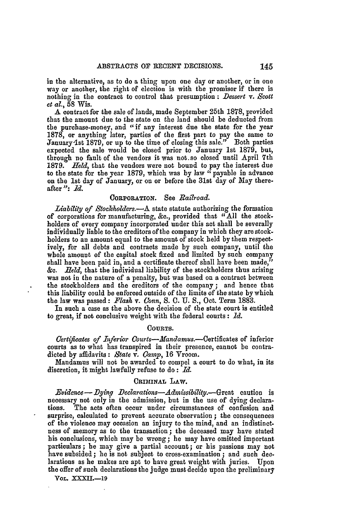in the alternative, as to do a thing upon one day or another, or in one way or another, the right of election is with the promisor if there is nothing in the contract to control that presumption **:** *Dessert v. Scott et al.,* **58** Wis.

A contract for the sale of lands, made September 25th **1878,** provided that the amount due to the state on the land should be deducted from the purchase-money, and "if any interest due the state for the year **1878,** or anything later, parties of the first part to pay the same to January 1st 1879, or up to the time of closing this sale." Both parties expected the sale would be closed prior to January **1st 1879,** but, through no fault of the vendors it was not.so closed until April 7th **1879.** *Held,* that the vendors were not bound to pay the interest due to the state for the year **1879,** which was **by** law "payable in advance on the 1st day of January, or on or before the 31st day of May thereafter": *ld.*

#### CORPORATION. See *Railroad.*

*Liability of Stockholders.*—A state statute authorizing the formation of corporations for manufacturing, &c., provided that "All the stockholders of every company incorporated under this act shall be severally individually liable to the creditors of the company in which they are stockholders to an amount equal to the amount of stock held by them respectively, for all debts and contracts made by such company, until the whole amount of the capital stock fixed and limited by such company shall have been paid in, and a certificate thereof shall have been made," **&c.** *field,* that the individual liability of the stockholders thus arising was not in the nature of a penalty, but was based on a contract between the stockholders and the creditors of the company **;** and hence that this liability could be enforced outside of the limits of the state **by** which the law was passed: *Plash* v. *Conn,* **S. C.** U. **S.,** Oct. Term 1883.

In such a case as the above the decision of the state court is entitled to great, if not conclusive weight with the federal courts **:** *Id.*

#### COURTS.

*Certificates of Inferior Courts--Mandamus.*--Certificates of inferior courts as to what has transpired in their presence, cannot be contradicted by affidavits : *State v. Camp,* 16 Vroom.

Mandamus will not be awarded to compel a court to do what, in its discretion, it might lawfully refuse to **do:** *Id.*

### **CRImiNAL LAW.**

*Evidence- Dying Declarations-Admissibility.-G-reat* caution is necessary not only in the admission, but in the use of dying declarations. The acts often occur under circumstances of confusion and surprise, calculated to prevent accurate observation ; the consequences of the violence may occasion an injury to the mind, and an indistinctness of memory as to the transaction; the deceased may have stated his conclusions, which may be wrong; he may have omitted important particulars; he may give a partial account; or his passions may not have subsided **; he** is not subject to cross-examination ; and such declarations as he makes are apt to have great weight with juries. Upon the offer of such declarations the judge must decide upon the preliminary

**VOL. XXXII.-19**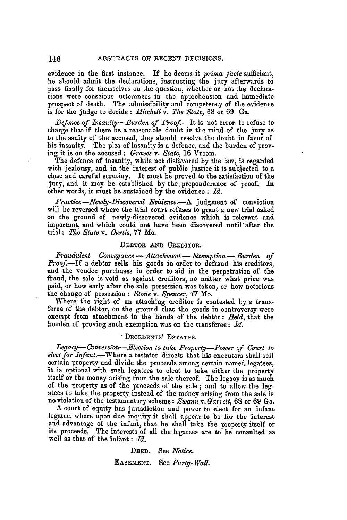146

evidence in the first instance. If he deems it *prima facie* sufficient, he should admit the declarations, instructing the jury afterwards to pass finally for themselves on the question, whether or not the declarations were conscious utterances in the apprehension and immediate prospect of death. The admissibility and competency of the evidence is for the judge to decide **:** *iffitchell v. The State,* 68 or 69 Ga.

*Defence of Insanity-Burden of Proof.*-It is not error to refuse to charge that if there be a reasonable doubt in the mind of the jury as to the sanity of the accused, they should resolve the doubt in favor of his insanity. The plea of insanity is a defence, and the burden of proving it is on the accused **:** *Graves v. State,* 16 Vroom.

The defence of insanity, while not disfavored by the law, is regarded with jealousy, and in the interest of public justice it is subjected to a close and careful scrutiny. It must be proved to the satisfaction of the jury, and it may be established by the. preponderance of proof. In other words, it must be sustained by the evidence **:** *Id.*

*Practice-Newly-Discovered Evidence.*-A judgment of conviction will be reversed where the trial court refuses to grant a new trial asked on the ground of newly-discovered evidence which is relevant and important, and which could not have been discovered until after the trial: *The State v. Curtis,* 77 Mo.

## DEBTOR **AND** CREDITOR.

 $F$ raudulent Conveyance — Attachment — *Exemption* — Burden of Proof.<sup>1</sup> If a debtor sells his goods in order to defraud his creditors, and the vendee purchases in order to aid in the perpetration of the fraud, the sale is void as against creditors, no matter what price was paid, or how early after the sale possession was taken, or how notorious the change of possession **:** *Stone v. Spencer,* **77** Mo.

Where the right of an attaching creditor is contested by a transferee of the debtor, on the ground that the goods in controversy were exempt from attachment in the hands of the debtor: *Held,* that the burden of proving such exemption was on the transferee: *Id.*

# **DECEDENTS' ESTATES.**

Legacy-Conversion-Election to take Property-Power of Court to *elect for Infant.*--Where a testator directs that his executors shall sell certain property and divide the proceeds among certain named legatees, it is optional with such legatees to elect to take either the property itself or the money arising from the sale thereof. The legacy is as much of the property as of the proceeds of the sale ; and to allow the legatees to take the property instead of the money arising from the sale is no violation of the testamentary scheme: *Swann* v. *Garrett,* 68 or 69 Ga.

A court of equity has jurisdiction and power to elect for an infant legatee, where upon due inquiry it shall appear to be for the interest and advantage of the infant, that he shall take the property itself or its proceeds. The interests of all the legatees are to be consulted as well as that of the infant: *Id.*

> DEED. See *Notice*. **EASEMENT.** See *Party-Wall.*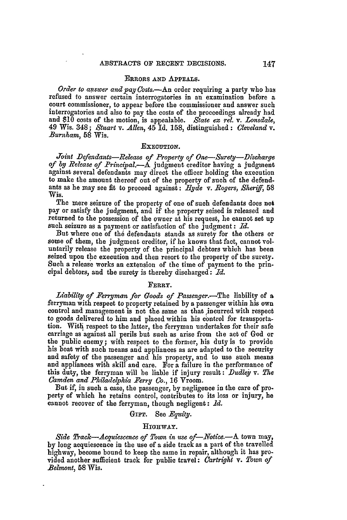### ERRORS AND APPEALS.

*Order to answer and pay Costs.*-An order requiring a party who has refused to answer certain interrogatories in an examination before a court commissioner, to appear before the commissioner and answer such interrogatories and also to pay the costs of the proceedings already had and **\$10** costs of the motion, is appealable. *State ez rel. v. Lonsdale,* 49 Wis. 348; *Stuart v. Allen,* 45 Id. 158, distinguished **:** *Cleveland v. Burnham,* 58 Wis.

# EXECUTION.

*Joint Defendants-Release of Property of One-Surey-Discharge of by Release of Principal.-A* judgment creditor having a judgment against several defendants may direct the officer holding the execution to make the amount thereof out of the property of such of the defendants as he may see fit to proceed against: *Hyde v. Rogers, Sheriff*, 58 Wis.

The mere seizure of the property of one of such defendants does not pay or satisfy the judgment, and if the property seised is released and returned to the possession of the owner at his request, he cannot set up such seizure as a payment or satisfaction of the judgment: *Id.*

But where one of the defendants stands as surety for the others or some of them, the judgment creditor, if he knows that fact, cannot voluntarily release the property of the principal debtors which has been seized upon the execution and then resort to the property of the surety. Such a release works an extension of the time of payment to the principal debtors, and the surety is thereby discharged: *Id.*

#### FERRY.

*Liability of Ferryman for Goods of Passenger*.—The liability of a ferryman with respect to property retained by a passenger within his own control and management is not the same as that incurred with respect to goods delivered to him and placed within his control for trausportation. With respect to the latter, the ferryman undertakes for their safe carriage as against all perils but such as arise from the act of God or the public enemy; with respect to the former, his duty is to provide his boat with such means and appliances as are adapted to the security and safety of the passenger and his property, and to use such means and appliances with skill and care. For a failure in the performance of this duty, the ferryman will be liable if injury result: *Dudley* v. *The Camden and Philadelphia Ferry Co.,* 16 Vroom.

But if, in such a case, the passenger, by negligence in the care of pro. perty of which he retains control, contributes to its loss or injury, he cannot recover of the ferryman, though negligent: *Id.*

# GIFT. See *Equity*.

# **]HIGHWAY.**

*Side Track-Acquiescence of Town in use of-Notic&.-A* town may, by long acquiescence in the use of a side track as a part of the travelled highway, become bound to keep the same in repair, although it has provided another sufficient track for public travel: *Cartright v. Town of Belmont,* **58** Wis.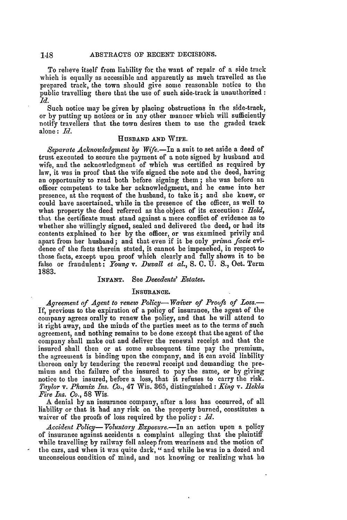To relieve itself from liability for the want of repair of a side track which is equally as accessible and apparently as much travelled as the prepared track, the town should give some reasonable notice to the public travelling there that the use of such side-track is unauthorized *id.*

Such notice may be given by placing obstructions in the side-track, or by putting up notices or in any other manner which will sufficiently notify travellers that the town desires them to use the graded track alone: *Id.*

### **HUSBAND AND** WIFE.

*Separate Acknowledgment by Wife.-In* a suit to set aside a deed of trust executed to secure the payment of a note signed by husband and wife, and the acknowledgment of which was certified as required by law, it was in proof that the wife signed the note and the deed, having an opportunity to read both before signing them; she was before an officer competent to take her acknowledgment, and he came into her presence, at the request of the husband, to take it; and she knew, or could have ascertained, while in the presence of the officer, as well to what property the deed referred as the object of its execution: *Held,* that the certificate must stand against a mere conflict of evidence as to whether she willingly signed, sealed and delivered the deed, or had its contents explained to her by the officer, or was examined privily and apart from her husband; and that even if it be only *prima facie* evidence of the facts therein stated, it cannot be impeached, in respect to those facts, except upon proof which clearly and fully shows it to be thlse or fraudulent: *Young v. Duvall et* al., **S. C.** U. **S.,** Oct. Term 1883.

#### **INFANT.** See *Decedents' Estates.*

#### INSURANCE.

*Agreement of Agent to renew Policy- Waiver of Proofs of Loss.-* If, previous to the expiration of a policy of insurance, the agent of the company agrees orally to renew the policy, and that he will attend to it right away, and the minds of the parties meet as to the terms of such agreement, and nothing remains to be done except that the agent of the company shall make out and deliver the renewal receipt and that the insured shall then or at some subsequent time pay the premium, the agreement is binding upon the company, and it can avoid liability thereon only by tendering the renewal receipt and demanding the premium and the failure of the insured to pay the same, or by giving notice to the insured, before a loss, that it refuses to carry the risk. *Taylor v.* Phenix *Zns. Co.,* 47 Wis. 365, distinguished: *King v. ilekla Fire Ins. Co.,* **58** Wis.

A denial by an insurance company, after a loss has occurred, of all liability or that it had any risk on the property burned, constitutes a waiver of the proofs of loss required by the policy : *Id.*

*Accident Policy- Voluntary Exposure.-In* an action upon a policy of insurance against accidents a complaint alleging that the plaintiff while travelling by railway fell asleep from weariness and the motion of the cars, and when it was quite dark, " and while he was in a dozed and unconscious condition of mind, and not knowing or realizing what **he**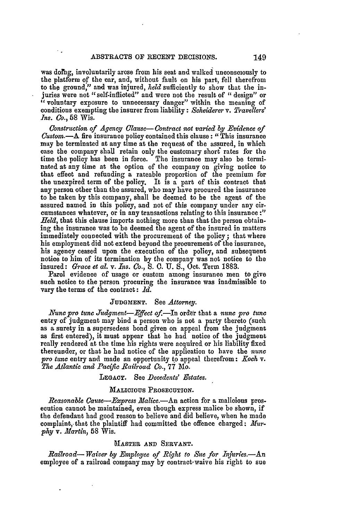was doling, involuntarily arose from his seat and walked unconsciously to the platform of the car, and, without fault on his part, fell therefrom to the ground," and was injured, *held* sufficiently to show that the injuries were not "self-inflicted" and were not the result of "design" or "voluntary exposure to unnecessary danger" within the meaning of conditions exempting the insurer from liability: *Scheiderer* v. *Travellers' Ins. Co.,* **58** Wis.

*Construction of Agency Clause- Contract not varied by Evidence of Custom.*--A fire insurance policy contained this clause: "This insurance may be terminated at any time at the request of the assured, in which case the company shall retain only the customary shord rates for the time the policy has been in force. The insurance may also be terminated at any time at the option of the company on giving notice to that effect and refunding a rateable proportion of the premium for the unexpired term of the policy. It is a part of this contract that any person other than the assured, who may have procured the insurance to be taken **by** this company, shall be deemed to be the agent of the assured named in this policy, and not of this company under any circumstances whatever, or in any transactions relating to this insurance **:"** *Held,* that this clause imports nothing more than that the person obtaining the insurance was to be deemed the agent of the insured in matters immediately connected with the procurement of the policy; that where his employment did not extend beyond the procurement of the insurance, his agency ceased upon the execution of the policy, and subsequent notice to him of its termination **by** the company was not notice to the insured: *Grace et al.* v. *Ins. Co.,* **S. C. U. S.,** Oct. Term **1883.**

Parol evidence of usage or custom among insurance men to give such notice to the person procuring the insurance was inadmissible to vary the terms of the contract: *Id.*

### **JUDGMENT.** See *Attorney.*

*Nunc pro tune Judgment-EJffect of.-In* **order** that a *nunc pro tune* entry of judgment may bind a person who is not a party thereto (such as a surety in a supersedeas bond given on appeal from the judgment as first entered), it must appear that he had notice of the judgment really rendered at the time his rights were acquired or his liability fixed thereunder, or that he had notice of the application to have the *nune pro tune* entry and made an opportunity to appeal therefrom: *Eoch v. The Atlantic and* **Pacific** *Railroad Co.,* **77** Mo.

#### **LEGACY.** See *Decedents' Estates.*

#### MALICIOUS PROSECUTION.

*Reasonable Cause-Express Malice.*-An action for a malicious prosecution cannot be maintained, even though express malice **be** shown, if the defendant had good reason to believe and did believe, when he made complaint, that the plaintiff had committed the offence charged: *Murphy v. Martin,* **58** Wis.

### MIASTER **AND** SERVANT.

*Railroad- Waiver by Enployee of Right to Sue for Injuries.-An* employee of a railroad company may **by** contract waive his right to sue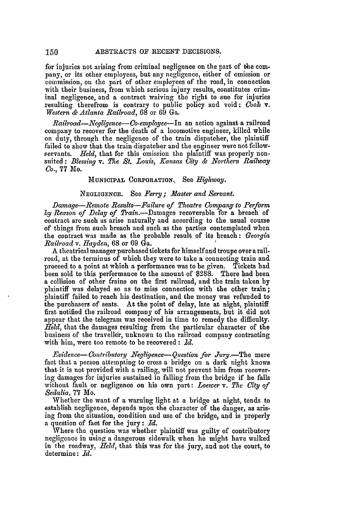for injuries not arising from criminal negligence on the part of the company, or its other employees, but any negligence, either of omission or commission, on the part of other employees of the road, in connection with their business, from which serious injury results, constitutes criminal negligence, and a contract waiving the right to sue for injuries resulting therefrom is contrary to public policy and void: *Cook v. Western & Atlanta Railroad,* 68 or 69 Ga.

*Railroad-Necgligence-Co-employee-In* an action against a railroad company to recover for the death of a locomotive engineer, killed while on duty, through the negligence of the train dispatcher, the plaintiff failed to show that the train dispatcher and the engineer were not fellowservants. *Held*, that for this omission the plaintiff was properly nonsuited: *Blessing v. The St. Louis, Kansas City & Northern Railway Co.,* **77** Mo.

# **MUNICIPAL CORPORATION.** See *Highway.*

# **NEGLIGENCE.** See *Ferry; Master and Servant.*

*Damage-Remote Results-Failure of Theatre Company to Perform by Reason of Delay of* Train.-Damages recoverable for a breach of contract are such as arise naturally and according to the usual course of things from such breach and such as the parties contemplated when the contract was made as the probable result of its breach: *Georgia Railroad v. Hayden,* 68 or 69 Ga.

A theatrical manager purchased tickets for himself and troupe over a railroad, at the terminus of which they were to take a connecting train and proceed to a point at which a performance was to be given. Tickets had been sold to this performance to the amount of \$288. There had been a collision of other trains on the first railroad, and the train taken **by** plaintiff was delayed so as to miss connection with the other train; plaintiff failed to reach his destination, and the money was refunded to the purchasers of seats. At the point of delay, late at night, plaintiff first notified the railroad company of his arrangements, but it did not appear that the telegram was received in time to remedy the difficulty. *Held,* that the damages resulting from the particular character of the business of the traveller, unknown to the railroad company contracting with him, were too remote to be recovered: *Id.*

*Evidence-Contributory Negligence-Question for Juriy.-The* mere fact that a person attempting to cross a bridge on a dark night knows that it is not provided with a railing, will not prevent him from recover- **ing** damages for injuries sustained in falling from the bridge if he falls without fault or negligence on his own part: *Loewer* v. *The City of Sedalia,* 77 Mo.

Whether the want of a warning light at a bridge at night, tends to establish negligence, depends upon the character of the danger, as arising from the situation, condition and use of the bridge, and is properly a question of fact for the jury: *Id.*

Where the question was whether plaintiff was guilty of contributory negligence in using a dangerous sidewalk when he might have walked in the roadway, *Held,* that this was for the jury, and not the court, to determine: *Id.*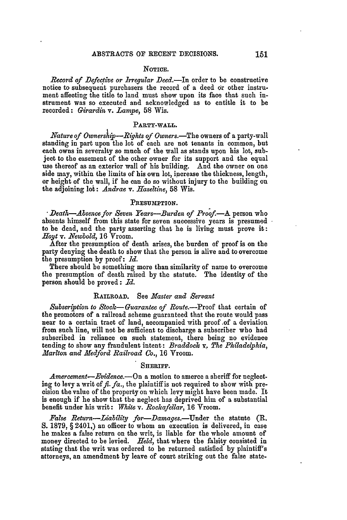#### NOTICE.

*Record of Defective or Irregular* Deed.-In order to be constructive notice to subsequent purchasers the record of a deed or other instrument affecting the title to land must show upon its face that such instrument was so executed and acknowledged as to entitle it to be recorded: *Girardin* v. *Lampe,* **58** Wis.

#### PARTY-WALL.

*Nature of Ownership-Rights of Owners.*-The owners of a party-wall standing in part upon the lot of each are not tenants in common, but each owns in severalty so much of the wall as stands upon his lot, subject to the easement of the other owner for its support and the equal use thereof as an exterior wall of his building. And the owner on one side may, within the limits of his own lot, increase the thickness, length, or height of the wall, if he can do so without injury to the building on the adjoining lot: *Andrae v. Haseltine,* **58** Wis.

#### **PRESUMPTION.**

*Death-Absencefor Seven Years-Burden of Proof-A* person who absents himself from this state for seven successive years is presumed to be dead, and the party asserting that he is living must prove it: *Hloyt v. Newbold,* 16 Vroom.

After the presumption of death arises, the burden of proof is on the party denying the death to show that the person is alive and to overcome the presumption by proof:  $Id.$ 

There should be something more than similarity of name to overcome the presumption of death raised by the statute. The identity of the person should **be** proved: *Id.*

# RAILROAD. See *Master and Servant*

*Subscription to Stock-Guarantee of Route.-Proof* that certain of the promotors of a railroad scheme guaranteed that the route would pass near to a certain tract of land, accompanied with proof of a deviation from such line, will not be sufficient to discharge a subscriber who had subscribed in reliance on such statement, there being no evidence tending to show any fraudulent intent: *Braddock v. The PhiladeIphia, .Marlton and Medford Railroad Co.,* 16 Vroom.

# SHERIFF.

*Amercement-Evidence.-On* a motion to amerce a sheriff for neglecting to levy a writ of  $f_t$ .  $f_a$ , the plaintiff is not required to show with precision the value of the property on which levy might have been made. It is enough if he show that the neglect has deprived him of a substantial benefit under his writ: *White v. Rockafellar,* 16 Yroom.

*False Return-Liability for-Damages.-Under* the statute (R. **S.** 1879, § 2401,) an officer to whom an execution is delivered, in case he makes a false return on the writ, is liable for the whole amount of money directed to be levied. *Held,* that where the falsity consisted in stating that the writ was ordered to be returned satisfied by plaintiff's attorneys, an amendment by leave of court striking out the false state